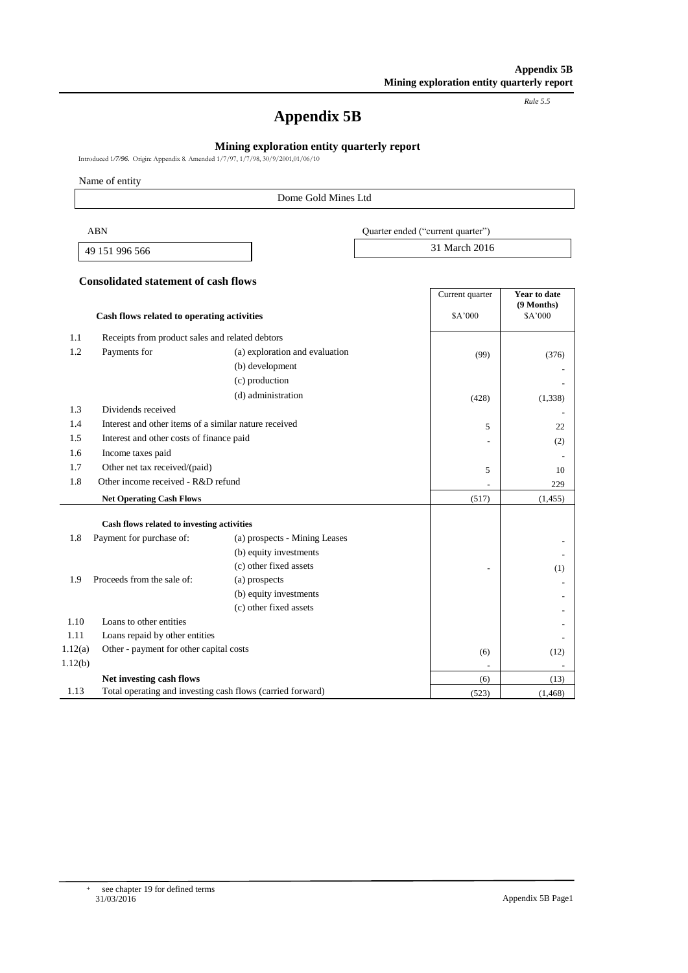*Rule 5.5*

# **Appendix 5B**

# **Mining exploration entity quarterly report**

Introduced 1*/7/96.* Origin: Appendix 8. Amended 1/7/97, 1/7/98, 30/9/2001,01/06/10

Name of entity

#### Dome Gold Mines Ltd

| ABN            | Quarter ended ("current quarter") |
|----------------|-----------------------------------|
| 49 151 996 566 | 31 March 2016                     |

#### **Consolidated statement of cash flows**

|         |                                                            |                                | Current quarter | Year to date          |
|---------|------------------------------------------------------------|--------------------------------|-----------------|-----------------------|
|         | Cash flows related to operating activities                 |                                | \$A'000         | (9 Months)<br>\$A'000 |
| 1.1     | Receipts from product sales and related debtors            |                                |                 |                       |
| 1.2     | Payments for                                               | (a) exploration and evaluation | (99)            | (376)                 |
|         |                                                            | (b) development                |                 |                       |
|         |                                                            | (c) production                 |                 |                       |
|         |                                                            | (d) administration             | (428)           | (1,338)               |
| 1.3     | Dividends received                                         |                                |                 |                       |
| 1.4     | Interest and other items of a similar nature received      |                                | 5               | 22                    |
| 1.5     | Interest and other costs of finance paid                   |                                |                 | (2)                   |
| 1.6     | Income taxes paid                                          |                                |                 |                       |
| 1.7     | Other net tax received/(paid)                              |                                | 5               | 10                    |
| 1.8     | Other income received - R&D refund                         |                                |                 | 229                   |
|         | <b>Net Operating Cash Flows</b>                            |                                | (517)           | (1, 455)              |
|         | Cash flows related to investing activities                 |                                |                 |                       |
| 1.8     | Payment for purchase of:                                   | (a) prospects - Mining Leases  |                 |                       |
|         |                                                            | (b) equity investments         |                 |                       |
|         |                                                            | (c) other fixed assets         |                 | (1)                   |
| 1.9     | Proceeds from the sale of:                                 | (a) prospects                  |                 |                       |
|         |                                                            | (b) equity investments         |                 |                       |
|         |                                                            | (c) other fixed assets         |                 |                       |
| 1.10    | Loans to other entities                                    |                                |                 |                       |
| 1.11    | Loans repaid by other entities                             |                                |                 |                       |
| 1.12(a) | Other - payment for other capital costs                    |                                | (6)             | (12)                  |
| 1.12(b) |                                                            |                                |                 |                       |
|         | Net investing cash flows                                   |                                | (6)             | (13)                  |
| 1.13    | Total operating and investing cash flows (carried forward) |                                | (523)           | (1, 468)              |

+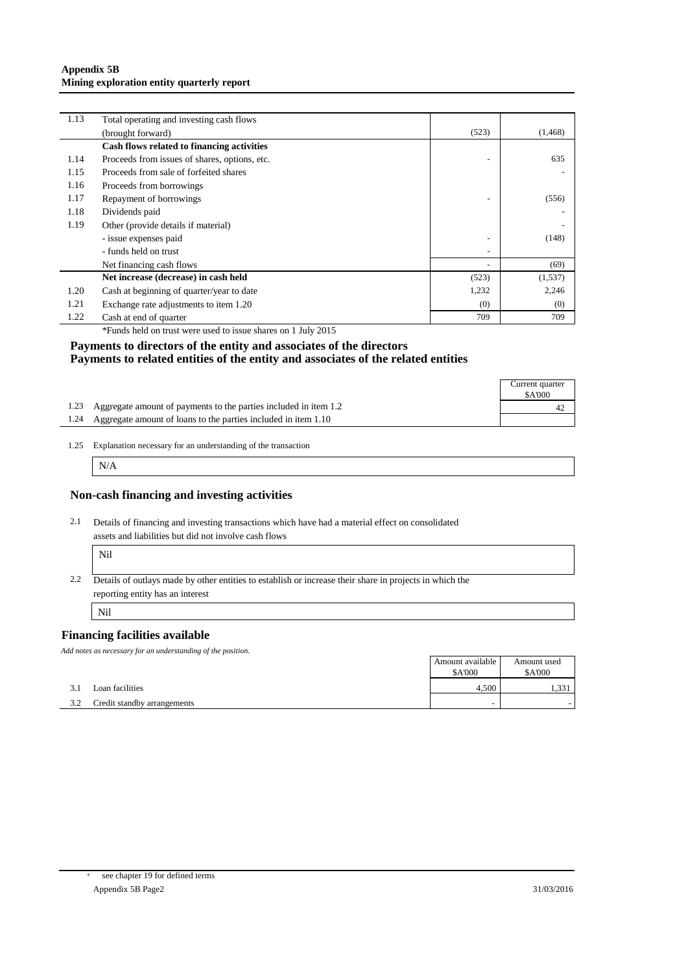#### **Appendix 5B Mining exploration entity quarterly report**

| 1.13 | Total operating and investing cash flows      |                          |          |
|------|-----------------------------------------------|--------------------------|----------|
|      | (brought forward)                             | (523)                    | (1, 468) |
|      | Cash flows related to financing activities    |                          |          |
| 1.14 | Proceeds from issues of shares, options, etc. |                          | 635      |
| 1.15 | Proceeds from sale of forfeited shares        |                          |          |
| 1.16 | Proceeds from borrowings                      |                          |          |
| 1.17 | Repayment of borrowings                       | ۰                        | (556)    |
| 1.18 | Dividends paid                                |                          |          |
| 1.19 | Other (provide details if material)           |                          |          |
|      | - issue expenses paid                         | ۰                        | (148)    |
|      | - funds held on trust                         | $\overline{\phantom{a}}$ |          |
|      | Net financing cash flows                      |                          | (69)     |
|      | Net increase (decrease) in cash held          | (523)                    | (1, 537) |
| 1.20 | Cash at beginning of quarter/year to date     | 1,232                    | 2,246    |
| 1.21 | Exchange rate adjustments to item 1.20        | (0)                      | (0)      |
| 1.22 | Cash at end of quarter                        | 709                      | 709      |

\*Funds held on trust were used to issue shares on 1 July 2015

## **Payments to directors of the entity and associates of the directors Payments to related entities of the entity and associates of the related entities**

| <b>SA'000</b><br>1.23 Aggregate amount of payments to the parties included in item 1.2 | Current quarter |  |
|----------------------------------------------------------------------------------------|-----------------|--|
|                                                                                        |                 |  |
|                                                                                        |                 |  |
| 1.24 Aggregate amount of loans to the parties included in item 1.10                    |                 |  |

<sup>1.25</sup> Explanation necessary for an understanding of the transaction

N/A

## **Non-cash financing and investing activities**

2.1 Details of financing and investing transactions which have had a material effect on consolidated assets and liabilities but did not involve cash flows

| × |
|---|
|   |

2.2 Details of outlays made by other entities to establish or increase their share in projects in which the reporting entity has an interest

Nil

## **Financing facilities available**

*Add notes as necessary for an understanding of the position.*

|     |                             | Amount available         | Amount used      |
|-----|-----------------------------|--------------------------|------------------|
|     |                             | \$A'000                  | $^{\circ}$ A'000 |
| 3.1 | Loan facilities             | 4.500                    |                  |
| 3.2 | Credit standby arrangements | $\overline{\phantom{a}}$ |                  |

+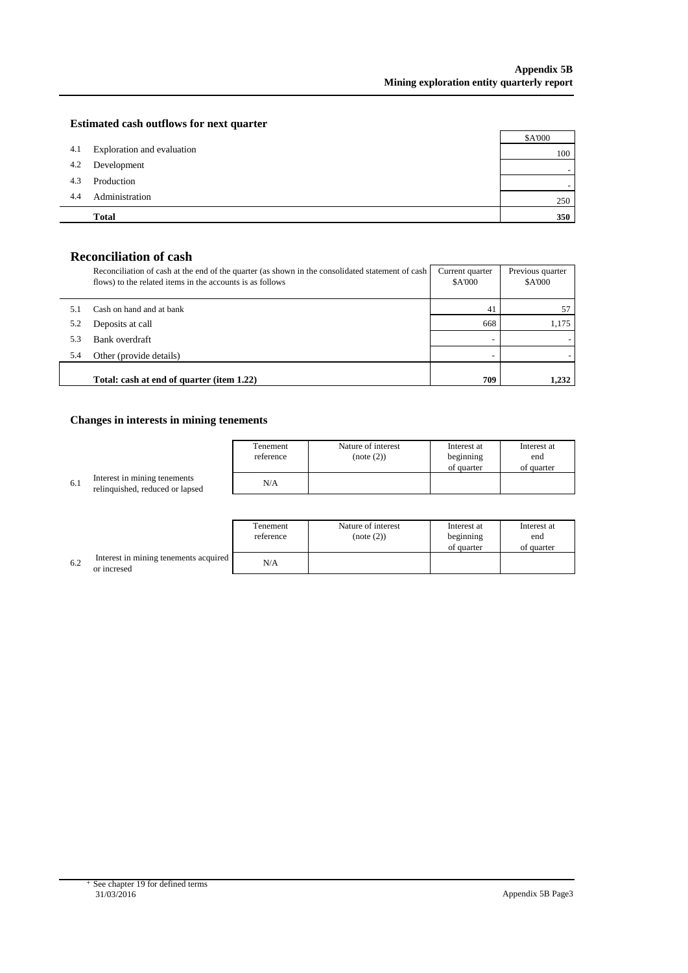$\mathbf{r}$ 

## **Estimated cash outflows for next quarter**

|     | <b>Total</b>               | 350     |
|-----|----------------------------|---------|
| 4.4 | Administration             | 250     |
| 4.3 | Production                 |         |
| 4.2 | Development                |         |
| 4.1 | Exploration and evaluation | 100     |
|     |                            | \$A'000 |

# **Reconciliation of cash**

|     | Reconciliation of cash at the end of the quarter (as shown in the consolidated statement of cash<br>flows) to the related items in the accounts is as follows | Current quarter<br><b>\$A'000</b> | Previous quarter<br>\$A'000 |
|-----|---------------------------------------------------------------------------------------------------------------------------------------------------------------|-----------------------------------|-----------------------------|
|     | Cash on hand and at bank                                                                                                                                      | 4 <sub>1</sub>                    |                             |
| 5.2 | Deposits at call                                                                                                                                              | 668                               | 1.175                       |
| 5.3 | Bank overdraft                                                                                                                                                |                                   |                             |
| 5.4 | Other (provide details)                                                                                                                                       |                                   |                             |
|     | Total: cash at end of quarter (item 1.22)                                                                                                                     | 709                               | 1.232                       |

# **Changes in interests in mining tenements**

|     |                                                                 | Tenement  | Nature of interest | Interest at | Interest at |
|-----|-----------------------------------------------------------------|-----------|--------------------|-------------|-------------|
|     |                                                                 | reference | (note (2))         | beginning   | end         |
|     |                                                                 |           |                    | of quarter  | of quarter  |
| 6.1 | Interest in mining tenements<br>relinguished, reduced or lapsed | N/A       |                    |             |             |
|     |                                                                 |           |                    |             |             |

|     |                                                      | Tenement<br>reference | Nature of interest<br>(note (2)) | Interest at<br>beginning<br>of quarter | Interest at<br>end<br>of quarter |
|-----|------------------------------------------------------|-----------------------|----------------------------------|----------------------------------------|----------------------------------|
| 6.2 | Interest in mining tenements acquired<br>or incresed | N/A                   |                                  |                                        |                                  |

+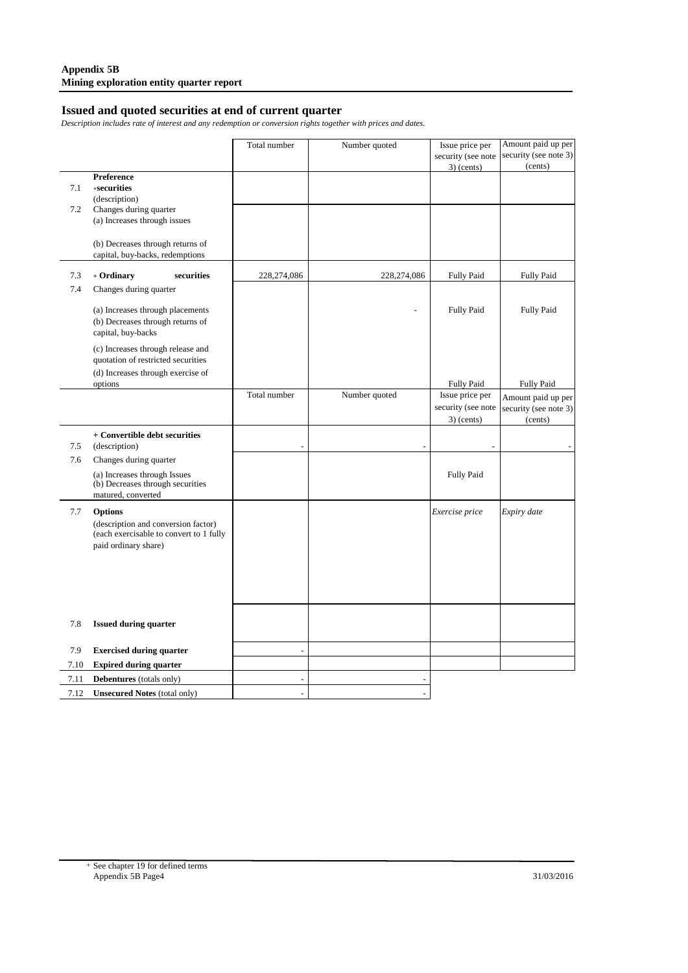# **Issued and quoted securities at end of current quarter**

*Description includes rate of interest and any redemption or conversion rights together with prices and dates.*

|            |                                                                                                              | Total number             | Number quoted | Issue price per<br>security (see note | Amount paid up per<br>security (see note 3) |
|------------|--------------------------------------------------------------------------------------------------------------|--------------------------|---------------|---------------------------------------|---------------------------------------------|
|            |                                                                                                              |                          |               | $3)$ (cents)                          | (cents)                                     |
|            | Preference                                                                                                   |                          |               |                                       |                                             |
| 7.1        | $+$ securities                                                                                               |                          |               |                                       |                                             |
| 7.2        | (description)<br>Changes during quarter                                                                      |                          |               |                                       |                                             |
|            | (a) Increases through issues                                                                                 |                          |               |                                       |                                             |
|            | (b) Decreases through returns of<br>capital, buy-backs, redemptions                                          |                          |               |                                       |                                             |
| 7.3        | + Ordinary<br>securities                                                                                     | 228,274,086              | 228,274,086   | <b>Fully Paid</b>                     | <b>Fully Paid</b>                           |
| 7.4        | Changes during quarter                                                                                       |                          |               |                                       |                                             |
|            | (a) Increases through placements<br>(b) Decreases through returns of<br>capital, buy-backs                   |                          |               | <b>Fully Paid</b>                     | <b>Fully Paid</b>                           |
|            | (c) Increases through release and<br>quotation of restricted securities<br>(d) Increases through exercise of |                          |               |                                       |                                             |
|            | options                                                                                                      |                          |               | <b>Fully Paid</b>                     | <b>Fully Paid</b>                           |
|            |                                                                                                              | Total number             | Number quoted | Issue price per                       | Amount paid up per                          |
|            |                                                                                                              |                          |               | security (see note                    | security (see note 3)                       |
|            |                                                                                                              |                          |               | $3)$ (cents)                          | (cents)                                     |
|            | + Convertible debt securities                                                                                |                          |               |                                       |                                             |
| 7.5<br>7.6 | (description)<br>Changes during quarter                                                                      |                          |               |                                       |                                             |
|            |                                                                                                              |                          |               |                                       |                                             |
|            | (a) Increases through Issues<br>(b) Decreases through securities<br>matured, converted                       |                          |               | <b>Fully Paid</b>                     |                                             |
| 7.7        | <b>Options</b>                                                                                               |                          |               | Exercise price                        | Expiry date                                 |
|            | (description and conversion factor)<br>(each exercisable to convert to 1 fully<br>paid ordinary share)       |                          |               |                                       |                                             |
|            |                                                                                                              |                          |               |                                       |                                             |
|            |                                                                                                              |                          |               |                                       |                                             |
|            |                                                                                                              |                          |               |                                       |                                             |
|            |                                                                                                              |                          |               |                                       |                                             |
| 7.8        | <b>Issued during quarter</b>                                                                                 |                          |               |                                       |                                             |
| 7.9        | <b>Exercised during quarter</b>                                                                              | $\overline{\phantom{a}}$ |               |                                       |                                             |
| 7.10       | <b>Expired during quarter</b>                                                                                |                          |               |                                       |                                             |
| 7.11       | Debentures (totals only)                                                                                     |                          |               |                                       |                                             |
| 7.12       | <b>Unsecured Notes (total only)</b>                                                                          |                          |               |                                       |                                             |